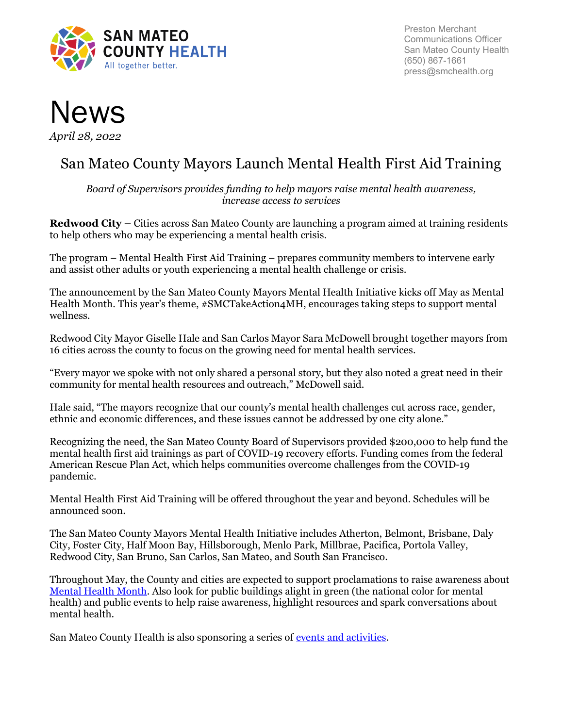

Preston Merchant Communications Officer San Mateo County Health (650) 867-1661 press@smchealth.org



# San Mateo County Mayors Launch Mental Health First Aid Training

Board of Supervisors provides funding to help mayors raise mental health awareness, increase access to services

Redwood City – Cities across San Mateo County are launching a program aimed at training residents to help others who may be experiencing a mental health crisis.

The program – Mental Health First Aid Training – prepares community members to intervene early and assist other adults or youth experiencing a mental health challenge or crisis.

The announcement by the San Mateo County Mayors Mental Health Initiative kicks off May as Mental Health Month. This year's theme, #SMCTakeAction4MH, encourages taking steps to support mental wellness.

Redwood City Mayor Giselle Hale and San Carlos Mayor Sara McDowell brought together mayors from 16 cities across the county to focus on the growing need for mental health services.

"Every mayor we spoke with not only shared a personal story, but they also noted a great need in their community for mental health resources and outreach," McDowell said.

Hale said, "The mayors recognize that our county's mental health challenges cut across race, gender, ethnic and economic differences, and these issues cannot be addressed by one city alone."

Recognizing the need, the San Mateo County Board of Supervisors provided \$200,000 to help fund the mental health first aid trainings as part of COVID-19 recovery efforts. Funding comes from the federal American Rescue Plan Act, which helps communities overcome challenges from the COVID-19 pandemic.

Mental Health First Aid Training will be offered throughout the year and beyond. Schedules will be announced soon.

The San Mateo County Mayors Mental Health Initiative includes Atherton, Belmont, Brisbane, Daly City, Foster City, Half Moon Bay, Hillsborough, Menlo Park, Millbrae, Pacifica, Portola Valley, Redwood City, San Bruno, San Carlos, San Mateo, and South San Francisco.

Throughout May, the County and cities are expected to support proclamations to raise awareness about Mental Health Month. Also look for public buildings alight in green (the national color for mental health) and public events to help raise awareness, highlight resources and spark conversations about mental health.

San Mateo County Health is also sponsoring a series of events and activities.